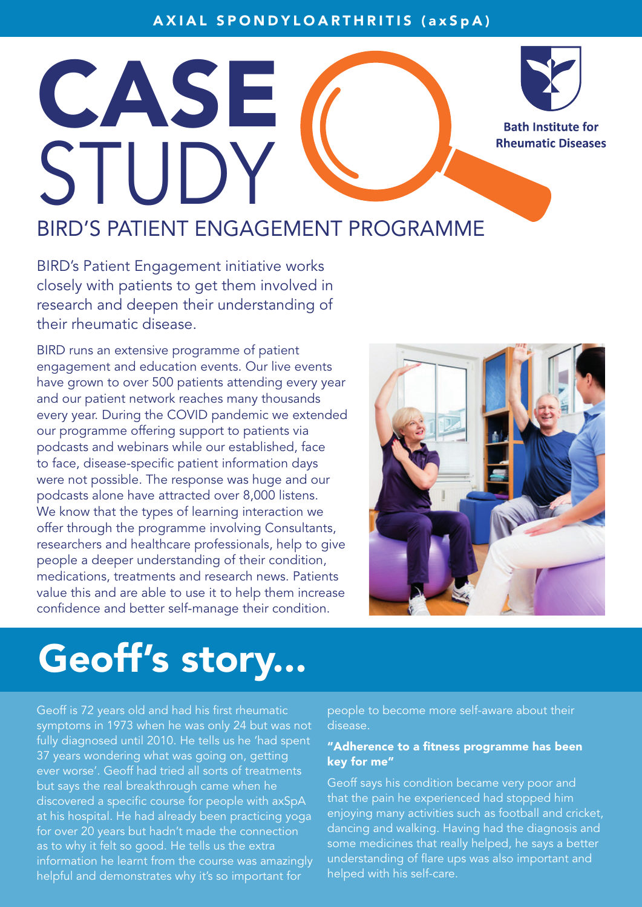## AXIAL SPONDYLOARTHRITIS (axSpA)



**Bath Institute for Rheumatic Diseases** 

BIRD'S PATIENT ENGAGEMENT PROGRAMME

BIRD's Patient Engagement initiative works closely with patients to get them involved in research and deepen their understanding of their rheumatic disease.

CASE

STUDY

BIRD runs an extensive programme of patient engagement and education events. Our live events have grown to over 500 patients attending every year and our patient network reaches many thousands every year. During the COVID pandemic we extended our programme offering support to patients via podcasts and webinars while our established, face to face, disease-specific patient information days were not possible. The response was huge and our podcasts alone have attracted over 8,000 listens. We know that the types of learning interaction we offer through the programme involving Consultants, researchers and healthcare professionals, help to give people a deeper understanding of their condition, medications, treatments and research news. Patients value this and are able to use it to help them increase confidence and better self-manage their condition.



## Geoff's story...

Geoff is 72 years old and had his first rheumatic symptoms in 1973 when he was only 24 but was not fully diagnosed until 2010. He tells us he 'had spent 37 years wondering what was going on, getting ever worse'. Geoff had tried all sorts of treatments but says the real breakthrough came when he discovered a specific course for people with axSpA at his hospital. He had already been practicing yoga for over 20 years but hadn't made the connection as to why it felt so good. He tells us the extra information he learnt from the course was amazingly helpful and demonstrates why it's so important for

people to become more self-aware about their disease.

## "Adherence to a fitness programme has been key for me"

Geoff says his condition became very poor and that the pain he experienced had stopped him enjoying many activities such as football and cricket, dancing and walking. Having had the diagnosis and some medicines that really helped, he says a better understanding of flare ups was also important and helped with his self-care.